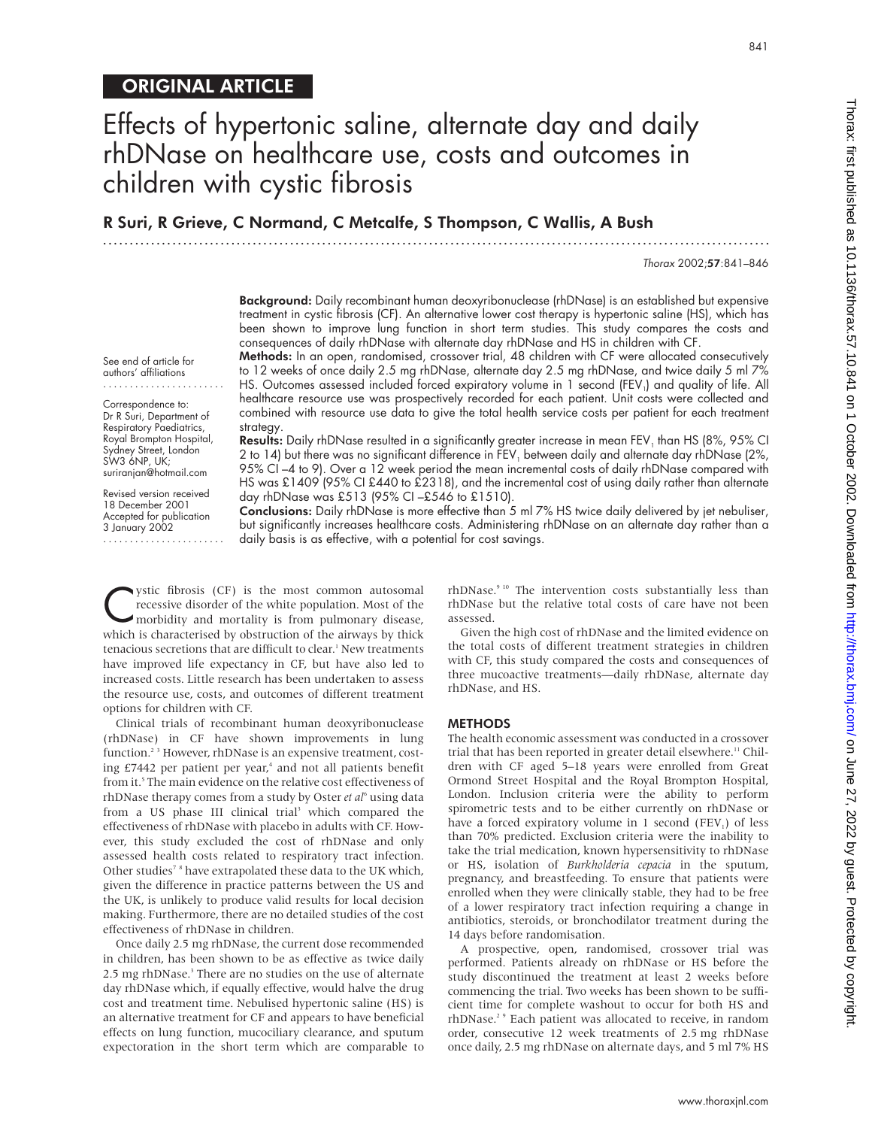# ORIGINAL ARTICLE

See end of article for authors' affiliations ....................... Correspondence to: Dr R Suri, Department of Respiratory Paediatrics, Royal Brompton Hospital, Sydney Street, London SW3 6NP, UK; suriranjan@hotmail.com Revised version received 18 December 2001 Accepted for publication 3 January 2002 .......................

# Effects of hypertonic saline, alternate day and daily rhDNase on healthcare use, costs and outcomes in children with cystic fibrosis

R Suri, R Grieve, C Normand, C Metcalfe, S Thompson, C Wallis, A Bush

.............................................................................................................................

Thorax 2002;57:841–846

Background: Daily recombinant human deoxyribonuclease (rhDNase) is an established but expensive treatment in cystic fibrosis (CF). An alternative lower cost therapy is hypertonic saline (HS), which has been shown to improve lung function in short term studies. This study compares the costs and consequences of daily rhDNase with alternate day rhDNase and HS in children with CF.

Methods: In an open, randomised, crossover trial, 48 children with CF were allocated consecutively to 12 weeks of once daily 2.5 mg rhDNase, alternate day 2.5 mg rhDNase, and twice daily 5 ml 7% HS. Outcomes assessed included forced expiratory volume in 1 second (FEV<sub>1</sub>) and quality of life. All healthcare resource use was prospectively recorded for each patient. Unit costs were collected and combined with resource use data to give the total health service costs per patient for each treatment strategy.

Results: Daily rhDNase resulted in a significantly greater increase in mean  $FEV<sub>1</sub>$  than HS (8%, 95% CI 2 to 14) but there was no significant difference in FEV<sub>1</sub> between daily and alternate day rhDNase (2%, 95% CI –4 to 9). Over a 12 week period the mean incremental costs of daily rhDNase compared with HS was £1409 (95% CI £440 to £2318), and the incremental cost of using daily rather than alternate day rhDNase was £513 (95% CI –£546 to £1510).

Conclusions: Daily rhDNase is more effective than 5 ml 7% HS twice daily delivered by jet nebuliser, but significantly increases healthcare costs. Administering rhDNase on an alternate day rather than a daily basis is as effective, with a potential for cost savings.

Cystic fibrosis (CF) is the most common autosomal morbidity and mortality is from pulmonary disease, recessive disorder of the white population. Most of the which is characterised by obstruction of the airways by thick tenacious secretions that are difficult to clear.<sup>1</sup> New treatments have improved life expectancy in CF, but have also led to increased costs. Little research has been undertaken to assess the resource use, costs, and outcomes of different treatment options for children with CF.

Clinical trials of recombinant human deoxyribonuclease (rhDNase) in CF have shown improvements in lung function.<sup>23</sup> However, rhDNase is an expensive treatment, costing £7442 per patient per year,<sup>4</sup> and not all patients benefit from it.<sup>5</sup> The main evidence on the relative cost effectiveness of rhDNase therapy comes from a study by Oster et al<sup>6</sup> using data from a US phase III clinical trial<sup>3</sup> which compared the effectiveness of rhDNase with placebo in adults with CF. However, this study excluded the cost of rhDNase and only assessed health costs related to respiratory tract infection. Other studies<sup>78</sup> have extrapolated these data to the UK which, given the difference in practice patterns between the US and the UK, is unlikely to produce valid results for local decision making. Furthermore, there are no detailed studies of the cost effectiveness of rhDNase in children.

Once daily 2.5 mg rhDNase, the current dose recommended in children, has been shown to be as effective as twice daily 2.5 mg rhDNase.<sup>3</sup> There are no studies on the use of alternate day rhDNase which, if equally effective, would halve the drug cost and treatment time. Nebulised hypertonic saline (HS) is an alternative treatment for CF and appears to have beneficial effects on lung function, mucociliary clearance, and sputum expectoration in the short term which are comparable to

rhDNase.<sup>9 10</sup> The intervention costs substantially less than rhDNase but the relative total costs of care have not been assessed.

Given the high cost of rhDNase and the limited evidence on the total costs of different treatment strategies in children with CF, this study compared the costs and consequences of three mucoactive treatments—daily rhDNase, alternate day rhDNase, and HS.

#### **METHODS**

The health economic assessment was conducted in a crossover trial that has been reported in greater detail elsewhere.<sup>11</sup> Children with CF aged 5–18 years were enrolled from Great Ormond Street Hospital and the Royal Brompton Hospital, London. Inclusion criteria were the ability to perform spirometric tests and to be either currently on rhDNase or have a forced expiratory volume in 1 second (FEV<sub>1</sub>) of less than 70% predicted. Exclusion criteria were the inability to take the trial medication, known hypersensitivity to rhDNase or HS, isolation of *Burkholderia cepacia* in the sputum, pregnancy, and breastfeeding. To ensure that patients were enrolled when they were clinically stable, they had to be free of a lower respiratory tract infection requiring a change in antibiotics, steroids, or bronchodilator treatment during the 14 days before randomisation.

A prospective, open, randomised, crossover trial was performed. Patients already on rhDNase or HS before the study discontinued the treatment at least 2 weeks before commencing the trial. Two weeks has been shown to be sufficient time for complete washout to occur for both HS and rhDNase.2 9 Each patient was allocated to receive, in random order, consecutive 12 week treatments of 2.5 mg rhDNase once daily, 2.5 mg rhDNase on alternate days, and 5 ml 7% HS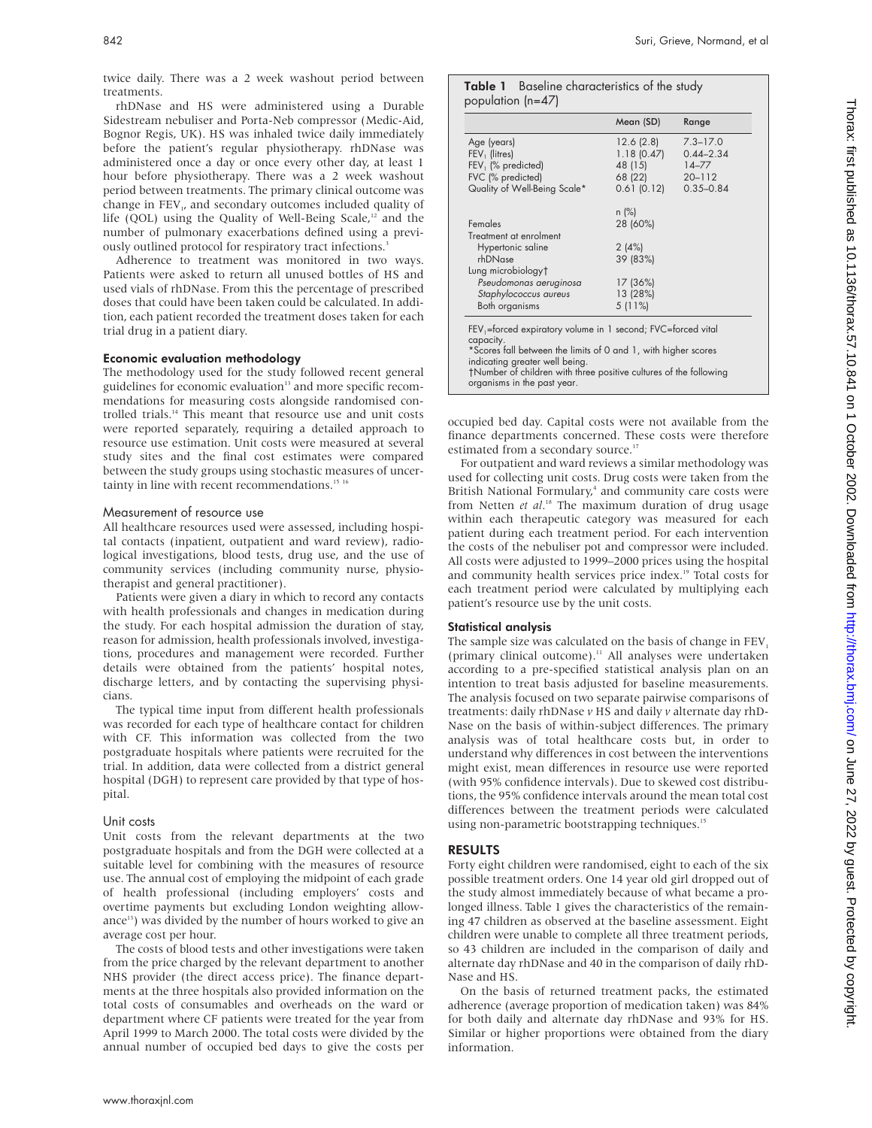twice daily. There was a 2 week washout period between treatments.

rhDNase and HS were administered using a Durable Sidestream nebuliser and Porta-Neb compressor (Medic-Aid, Bognor Regis, UK). HS was inhaled twice daily immediately before the patient's regular physiotherapy. rhDNase was administered once a day or once every other day, at least 1 hour before physiotherapy. There was a 2 week washout period between treatments. The primary clinical outcome was change in FEV<sub>1</sub>, and secondary outcomes included quality of life (QOL) using the Quality of Well-Being Scale, $12$  and the number of pulmonary exacerbations defined using a previously outlined protocol for respiratory tract infections.<sup>3</sup>

Adherence to treatment was monitored in two ways. Patients were asked to return all unused bottles of HS and used vials of rhDNase. From this the percentage of prescribed doses that could have been taken could be calculated. In addition, each patient recorded the treatment doses taken for each trial drug in a patient diary.

# Economic evaluation methodology

The methodology used for the study followed recent general guidelines for economic evaluation<sup>13</sup> and more specific recommendations for measuring costs alongside randomised controlled trials.14 This meant that resource use and unit costs were reported separately, requiring a detailed approach to resource use estimation. Unit costs were measured at several study sites and the final cost estimates were compared between the study groups using stochastic measures of uncertainty in line with recent recommendations.<sup>15 16</sup>

#### Measurement of resource use

All healthcare resources used were assessed, including hospital contacts (inpatient, outpatient and ward review), radiological investigations, blood tests, drug use, and the use of community services (including community nurse, physiotherapist and general practitioner).

Patients were given a diary in which to record any contacts with health professionals and changes in medication during the study. For each hospital admission the duration of stay, reason for admission, health professionals involved, investigations, procedures and management were recorded. Further details were obtained from the patients' hospital notes, discharge letters, and by contacting the supervising physicians.

The typical time input from different health professionals was recorded for each type of healthcare contact for children with CF. This information was collected from the two postgraduate hospitals where patients were recruited for the trial. In addition, data were collected from a district general hospital (DGH) to represent care provided by that type of hospital.

#### Unit costs

Unit costs from the relevant departments at the two postgraduate hospitals and from the DGH were collected at a suitable level for combining with the measures of resource use. The annual cost of employing the midpoint of each grade of health professional (including employers' costs and overtime payments but excluding London weighting allowance<sup>13</sup>) was divided by the number of hours worked to give an average cost per hour.

The costs of blood tests and other investigations were taken from the price charged by the relevant department to another NHS provider (the direct access price). The finance departments at the three hospitals also provided information on the total costs of consumables and overheads on the ward or department where CF patients were treated for the year from April 1999 to March 2000. The total costs were divided by the annual number of occupied bed days to give the costs per

#### Table 1 Baseline characteristics of the study population (n=47)

|                                                                                                                                                                                                                                                                                               | Mean (SD)  | Range         |
|-----------------------------------------------------------------------------------------------------------------------------------------------------------------------------------------------------------------------------------------------------------------------------------------------|------------|---------------|
| Age (years)                                                                                                                                                                                                                                                                                   | 12.6(2.8)  | $7.3 - 17.0$  |
| FEV <sub>1</sub> (litres)                                                                                                                                                                                                                                                                     | 1.18(0.47) | $0.44 - 2.34$ |
| FEV <sub>1</sub> (% predicted)                                                                                                                                                                                                                                                                | 48 (15)    | $14 - 77$     |
| FVC (% predicted)                                                                                                                                                                                                                                                                             | 68 (22)    | $20 - 112$    |
| Quality of Well-Being Scale*                                                                                                                                                                                                                                                                  | 0.61(0.12) | $0.35 - 0.84$ |
|                                                                                                                                                                                                                                                                                               | $n$ (%)    |               |
| Females                                                                                                                                                                                                                                                                                       | 28 (60%)   |               |
| Treatment at enrolment                                                                                                                                                                                                                                                                        |            |               |
| Hypertonic saline                                                                                                                                                                                                                                                                             | 2(4%)      |               |
| rhDNase                                                                                                                                                                                                                                                                                       | 39 (83%)   |               |
| Lung microbiologyt                                                                                                                                                                                                                                                                            |            |               |
| Pseudomonas aeruginosa                                                                                                                                                                                                                                                                        | 17(36%)    |               |
| Staphylococcus aureus                                                                                                                                                                                                                                                                         | 13 (28%)   |               |
| Both organisms                                                                                                                                                                                                                                                                                | $5(11\%)$  |               |
| FEV <sub>1</sub> =forced expiratory volume in 1 second; FVC=forced vital<br>capacity.<br>*Scores fall between the limits of 0 and 1, with higher scores<br>indicating greater well being.<br>†Number of children with three positive cultures of the following<br>organisms in the past year. |            |               |

occupied bed day. Capital costs were not available from the finance departments concerned. These costs were therefore estimated from a secondary source.<sup>17</sup>

For outpatient and ward reviews a similar methodology was used for collecting unit costs. Drug costs were taken from the British National Formulary,<sup>4</sup> and community care costs were from Netten et al.<sup>18</sup> The maximum duration of drug usage within each therapeutic category was measured for each patient during each treatment period. For each intervention the costs of the nebuliser pot and compressor were included. All costs were adjusted to 1999–2000 prices using the hospital and community health services price index.19 Total costs for each treatment period were calculated by multiplying each patient's resource use by the unit costs.

#### Statistical analysis

The sample size was calculated on the basis of change in  $FEV<sub>1</sub>$ (primary clinical outcome).<sup>11</sup> All analyses were undertaken according to a pre-specified statistical analysis plan on an intention to treat basis adjusted for baseline measurements. The analysis focused on two separate pairwise comparisons of treatments: daily rhDNase *v* HS and daily *v* alternate day rhD-Nase on the basis of within-subject differences. The primary analysis was of total healthcare costs but, in order to understand why differences in cost between the interventions might exist, mean differences in resource use were reported (with 95% confidence intervals). Due to skewed cost distributions, the 95% confidence intervals around the mean total cost differences between the treatment periods were calculated using non-parametric bootstrapping techniques.<sup>15</sup>

#### RESULTS

Forty eight children were randomised, eight to each of the six possible treatment orders. One 14 year old girl dropped out of the study almost immediately because of what became a prolonged illness. Table 1 gives the characteristics of the remaining 47 children as observed at the baseline assessment. Eight children were unable to complete all three treatment periods, so 43 children are included in the comparison of daily and alternate day rhDNase and 40 in the comparison of daily rhD-Nase and HS.

On the basis of returned treatment packs, the estimated adherence (average proportion of medication taken) was 84% for both daily and alternate day rhDNase and 93% for HS. Similar or higher proportions were obtained from the diary information.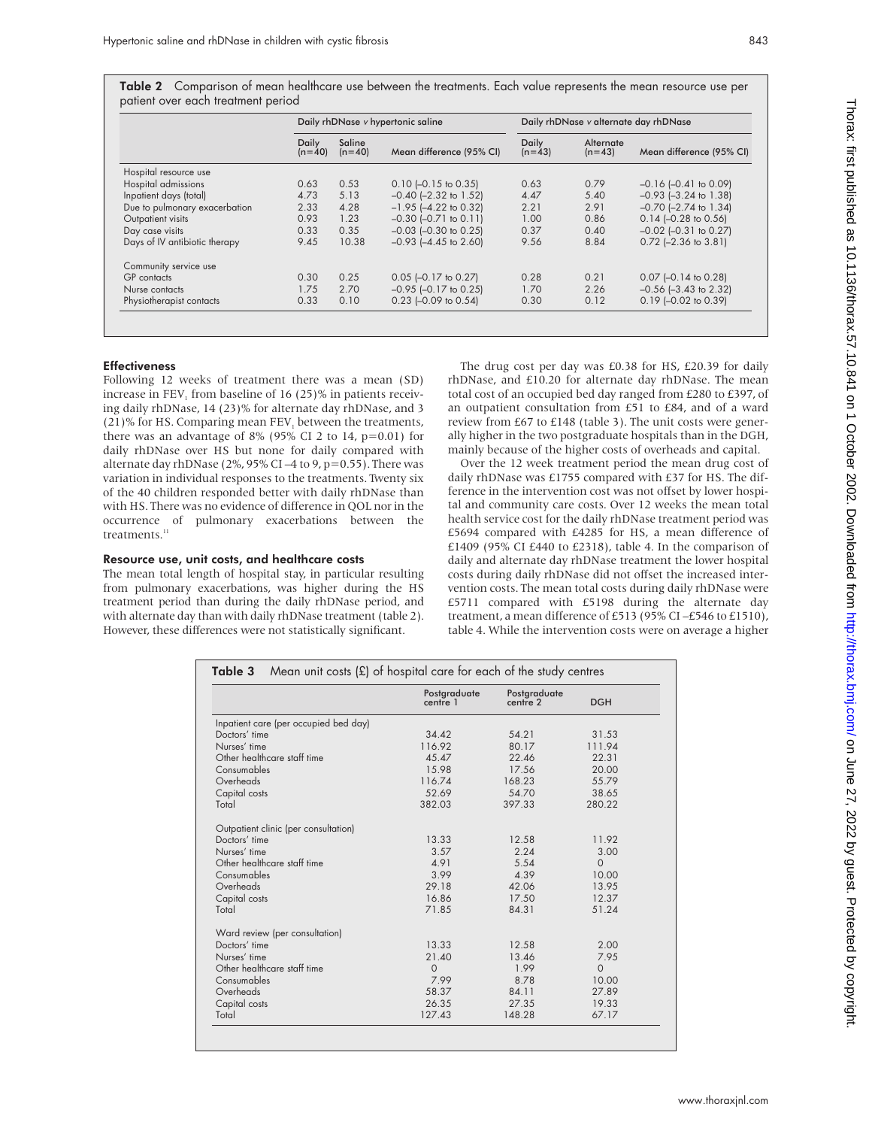|                               | Daily rhDNase v hypertonic saline |                    |                              | Daily rhDNase v alternate day rhDNase |                       |                             |  |
|-------------------------------|-----------------------------------|--------------------|------------------------------|---------------------------------------|-----------------------|-----------------------------|--|
|                               | Daily<br>$(n=40)$                 | Saline<br>$(n=40)$ | Mean difference (95% CI)     | Daily<br>$(n=43)$                     | Alternate<br>$(n=43)$ | Mean difference (95% CI)    |  |
| Hospital resource use         |                                   |                    |                              |                                       |                       |                             |  |
| Hospital admissions           | 0.63                              | 0.53               | $0.10$ (-0.15 to 0.35)       | 0.63                                  | 0.79                  | $-0.16$ $[-0.41$ to $0.09]$ |  |
| Inpatient days (total)        | 4.73                              | 5.13               | $-0.40$ $[-2.32$ to 1.52)    | 4.47                                  | 5.40                  | $-0.93$ $[-3.24$ to 1.38)   |  |
| Due to pulmonary exacerbation | 2.33                              | 4.28               | $-1.95$ $[-4.22$ to 0.32)    | 2.21                                  | 2.91                  | $-0.70$ $(-2.74$ to 1.34)   |  |
| Outpatient visits             | 0.93                              | 1.23               | $-0.30$ $(-0.71$ to $0.11$ ) | 1.00                                  | 0.86                  | $0.14$ $[-0.28$ to $0.56]$  |  |
| Day case visits               | 0.33                              | 0.35               | $-0.03$ $(-0.30$ to $0.25)$  | 0.37                                  | 0.40                  | $-0.02$ $[-0.31$ to 0.27)   |  |
| Days of IV antibiotic therapy | 9.45                              | 10.38              | $-0.93$ $[-4.45$ to 2.60)    | 9.56                                  | 8.84                  | $0.72$ (-2.36 to 3.81)      |  |
| Community service use         |                                   |                    |                              |                                       |                       |                             |  |
| GP contacts                   | 0.30                              | 0.25               | $0.05$ (-0.17 to 0.27)       | 0.28                                  | 0.21                  | $0.07$ (-0.14 to 0.28)      |  |
| Nurse contacts                | 1.75                              | 2.70               | $-0.95$ $[-0.17$ to 0.25)    | 1.70                                  | 2.26                  | $-0.56$ $[-3.43$ to 2.32    |  |
| Physiotherapist contacts      | 0.33                              | 0.10               | $0.23$ (-0.09 to 0.54)       | 0.30                                  | 0.12                  | $0.19$ (-0.02 to 0.39)      |  |

Table 2 Comparison of mean healthcare use between the treatments. Each value represents the mean resource use per

#### **Effectiveness**

Following 12 weeks of treatment there was a mean (SD) increase in FEV<sub>1</sub> from baseline of 16  $(25)$ % in patients receiving daily rhDNase, 14 (23)% for alternate day rhDNase, and 3 (21)% for HS. Comparing mean  $FEV<sub>1</sub>$  between the treatments, there was an advantage of  $8\%$  (95% CI 2 to 14, p=0.01) for daily rhDNase over HS but none for daily compared with alternate day rhDNase (2%, 95% CI $-4$  to 9, p=0.55). There was variation in individual responses to the treatments. Twenty six of the 40 children responded better with daily rhDNase than with HS. There was no evidence of difference in QOL nor in the occurrence of pulmonary exacerbations between the treatments.<sup>11</sup>

#### Resource use, unit costs, and healthcare costs

The mean total length of hospital stay, in particular resulting from pulmonary exacerbations, was higher during the HS treatment period than during the daily rhDNase period, and with alternate day than with daily rhDNase treatment (table 2). However, these differences were not statistically significant.

The drug cost per day was £0.38 for HS, £20.39 for daily rhDNase, and £10.20 for alternate day rhDNase. The mean total cost of an occupied bed day ranged from £280 to £397, of an outpatient consultation from £51 to £84, and of a ward review from £67 to £148 (table 3). The unit costs were generally higher in the two postgraduate hospitals than in the DGH, mainly because of the higher costs of overheads and capital.

Over the 12 week treatment period the mean drug cost of daily rhDNase was £1755 compared with £37 for HS. The difference in the intervention cost was not offset by lower hospital and community care costs. Over 12 weeks the mean total health service cost for the daily rhDNase treatment period was £5694 compared with £4285 for HS, a mean difference of £1409 (95% CI £440 to £2318), table 4. In the comparison of daily and alternate day rhDNase treatment the lower hospital costs during daily rhDNase did not offset the increased intervention costs. The mean total costs during daily rhDNase were £5711 compared with £5198 during the alternate day treatment, a mean difference of £513 (95% CI –£546 to £1510), table 4. While the intervention costs were on average a higher

|                                       | Postgraduate<br>centre 1 | Postgraduate<br>centre 2 | <b>DGH</b>   |  |
|---------------------------------------|--------------------------|--------------------------|--------------|--|
| Inpatient care (per occupied bed day) |                          |                          |              |  |
| Doctors' time                         | 34.42                    | 54.21                    | 31.53        |  |
| Nurses' time                          | 116.92                   | 80.17                    | 111.94       |  |
| Other healthcare staff time           | 45.47                    | 22.46                    | 22.31        |  |
| Consumables                           | 15.98                    | 17.56                    | 20.00        |  |
| Overheads                             | 116.74                   | 168.23                   | 55.79        |  |
| Capital costs                         | 52.69                    | 54.70                    | 38.65        |  |
| Total                                 | 382.03                   | 397.33                   | 280.22       |  |
| Outpatient clinic (per consultation)  |                          |                          |              |  |
| Doctors' time                         | 13.33                    | 12.58                    | 11.92        |  |
| Nurses' time                          | 3.57                     | 2.24                     | 3.00         |  |
| Other healthcare staff time           | 4.91                     | 5.54                     | $\Omega$     |  |
| Consumables                           | 3.99                     | 4.39                     | 10.00        |  |
| Overheads                             | 29.18                    | 42.06                    | 13.95        |  |
| Capital costs                         | 16.86                    | 17.50                    | 12.37        |  |
| Total                                 | 71.85                    | 84.31                    | 51.24        |  |
| Ward review (per consultation)        |                          |                          |              |  |
| Doctors' time                         | 13.33                    | 12.58                    | 2.00         |  |
| Nurses' time                          | 21.40                    | 13.46                    | 7.95         |  |
| Other healthcare staff time           | $\mathbf 0$              | 1.99                     | $\mathbf{0}$ |  |
| Consumables                           | 7.99                     | 8.78                     | 10.00        |  |
| Overheads                             | 58.37                    | 84.11                    | 27.89        |  |
| Capital costs                         | 26.35                    | 27.35                    | 19.33        |  |
| Total                                 | 127.43                   | 148.28                   | 67.17        |  |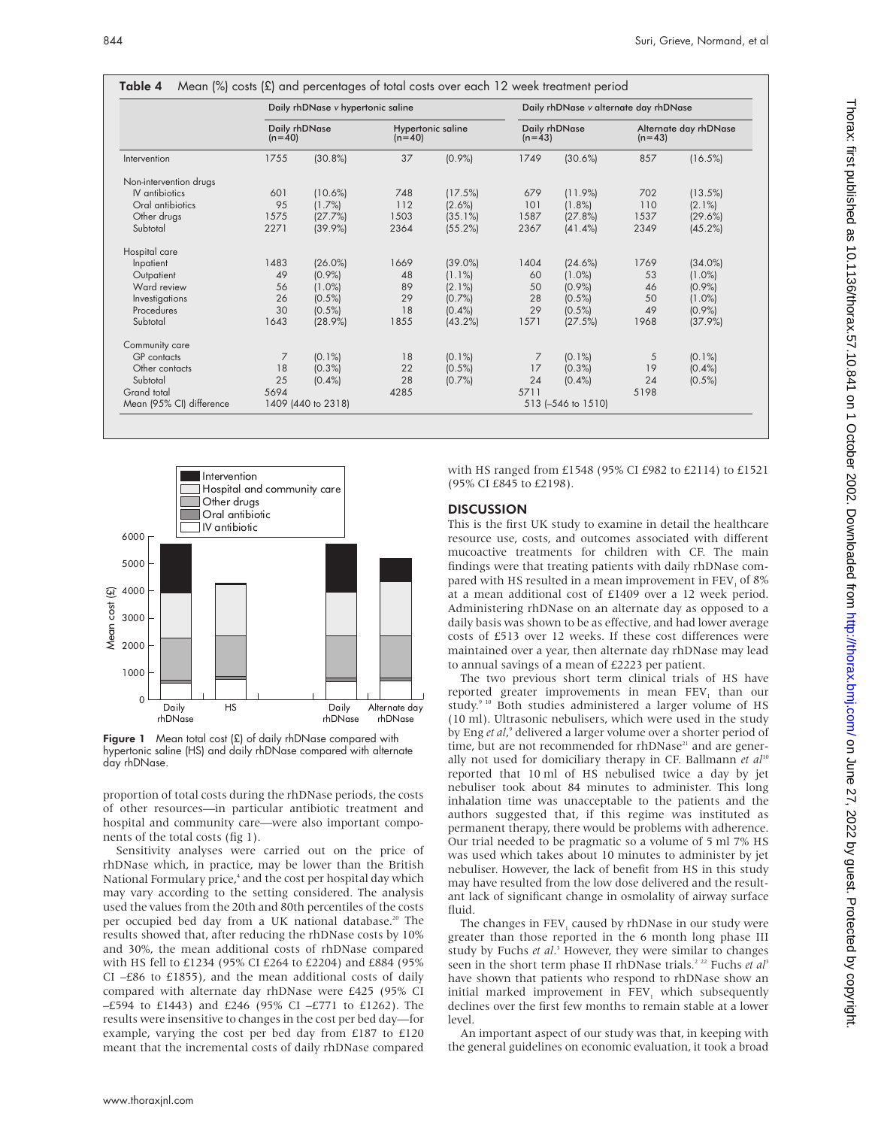|                          | Daily rhDNase v hypertonic saline |                    |          | Daily rhDNase v alternate day rhDNase |          |                    |          |                       |
|--------------------------|-----------------------------------|--------------------|----------|---------------------------------------|----------|--------------------|----------|-----------------------|
|                          | $(n=40)$                          | Daily rhDNase      | $(n=40)$ | Hypertonic saline                     | $(n=43)$ | Daily rhDNase      | $(n=43)$ | Alternate day rhDNase |
| Intervention             | 1755                              | $(30.8\%)$         | 37       | (0.9%                                 | 1749     | (30.6%)            | 857      | (16.5%)               |
| Non-intervention drugs   |                                   |                    |          |                                       |          |                    |          |                       |
| IV antibiotics           | 601                               | $(10.6\%)$         | 748      | (17.5%)                               | 679      | $(11.9\%)$         | 702      | $(13.5\%)$            |
| Oral antibiotics         | 95                                | $(1.7\%)$          | 112      | $(2.6\%)$                             | 101      | $(1.8\%)$          | 110      | $(2.1\%)$             |
| Other drugs              | 1575                              | (27.7%)            | 1503     | (35.1%)                               | 1587     | (27.8%)            | 1537     | (29.6%)               |
| Subtotal                 | 2271                              | (39.9%)            | 2364     | (55.2%)                               | 2367     | $(41.4\%)$         | 2349     | (45.2%)               |
| Hospital care            |                                   |                    |          |                                       |          |                    |          |                       |
| Inpatient                | 1483                              | $(26.0\%)$         | 1669     | $(39.0\%)$                            | 1404     | (24.6%)            | 1769     | $(34.0\%)$            |
| Outpatient               | 49                                | (0.9%              | 48       | $(1.1\%)$                             | 60       | $(1.0\%)$          | 53       | $(1.0\%)$             |
| Ward review              | 56                                | $(1.0\%)$          | 89       | $(2.1\%)$                             | 50       | (0.9%              | 46       | (0.9%                 |
| Investigations           | 26                                | $(0.5\%)$          | 29       | (0.7%)                                | 28       | $(0.5\%)$          | 50       | $(1.0\%)$             |
| Procedures               | 30                                | $(0.5\%)$          | 18       | $(0.4\%)$                             | 29       | $(0.5\%)$          | 49       | $(0.9\%)$             |
| Subtotal                 | 1643                              | (28.9%)            | 1855     | $(43.2\%)$                            | 1571     | (27.5%)            | 1968     | (37.9%)               |
| Community care           |                                   |                    |          |                                       |          |                    |          |                       |
| GP contacts              | 7                                 | $(0.1\%)$          | 18       | $(0.1\%)$                             | 7        | $(0.1\%)$          | 5        | $(0.1\%)$             |
| Other contacts           | 18                                | (0.3%              | 22       | $(0.5\%)$                             | 17       | $(0.3\%)$          | 19       | $(0.4\%)$             |
| Subtotal                 | 25                                | $(0.4\%)$          | 28       | (0.7%                                 | 24       | $(0.4\%)$          | 24       | $(0.5\%)$             |
| Grand total              | 5694                              |                    | 4285     |                                       | 5711     |                    | 5198     |                       |
| Mean (95% CI) difference |                                   | 1409 (440 to 2318) |          |                                       |          | 513 (-546 to 1510) |          |                       |

 $M_{\rm PMR}$  ( $\frac{9}{100}$  costs  $\frac{1}{2}$ ) and percentages of total costs over each 12 week treatment period



Figure 1 Mean total cost (£) of daily rhDNase compared with hypertonic saline (HS) and daily rhDNase compared with alternate day rhDNase.

proportion of total costs during the rhDNase periods, the costs of other resources—in particular antibiotic treatment and hospital and community care—were also important components of the total costs (fig 1).

Sensitivity analyses were carried out on the price of rhDNase which, in practice, may be lower than the British National Formulary price,<sup>4</sup> and the cost per hospital day which may vary according to the setting considered. The analysis used the values from the 20th and 80th percentiles of the costs per occupied bed day from a UK national database.<sup>20</sup> The results showed that, after reducing the rhDNase costs by 10% and 30%, the mean additional costs of rhDNase compared with HS fell to £1234 (95% CI £264 to £2204) and £884 (95% CI –£86 to £1855), and the mean additional costs of daily compared with alternate day rhDNase were £425 (95% CI –£594 to £1443) and £246 (95% CI –£771 to £1262). The results were insensitive to changes in the cost per bed day—for example, varying the cost per bed day from £187 to £120 meant that the incremental costs of daily rhDNase compared

with HS ranged from £1548 (95% CI £982 to £2114) to £1521 (95% CI £845 to £2198).

#### **DISCUSSION**

This is the first UK study to examine in detail the healthcare resource use, costs, and outcomes associated with different mucoactive treatments for children with CF. The main findings were that treating patients with daily rhDNase compared with HS resulted in a mean improvement in FEV<sub>1</sub> of 8% at a mean additional cost of £1409 over a 12 week period. Administering rhDNase on an alternate day as opposed to a daily basis was shown to be as effective, and had lower average costs of £513 over 12 weeks. If these cost differences were maintained over a year, then alternate day rhDNase may lead to annual savings of a mean of £2223 per patient.

The two previous short term clinical trials of HS have reported greater improvements in mean FEV, than our study.<sup>9 10</sup> Both studies administered a larger volume of HS (10 ml). Ultrasonic nebulisers, which were used in the study by Eng et al,<sup>9</sup> delivered a larger volume over a shorter period of time, but are not recommended for  $rhDN$ ase<sup>21</sup> and are generally not used for domiciliary therapy in CF. Ballmann et al<sup>10</sup> reported that 10 ml of HS nebulised twice a day by jet nebuliser took about 84 minutes to administer. This long inhalation time was unacceptable to the patients and the authors suggested that, if this regime was instituted as permanent therapy, there would be problems with adherence. Our trial needed to be pragmatic so a volume of 5 ml 7% HS was used which takes about 10 minutes to administer by jet nebuliser. However, the lack of benefit from HS in this study may have resulted from the low dose delivered and the resultant lack of significant change in osmolality of airway surface fluid.

The changes in FEV<sub>1</sub> caused by rhDNase in our study were greater than those reported in the 6 month long phase III study by Fuchs et al.<sup>3</sup> However, they were similar to changes seen in the short term phase II rhDNase trials.<sup>2 22</sup> Fuchs *et al*<sup>3</sup> have shown that patients who respond to rhDNase show an initial marked improvement in FEV<sub>1</sub> which subsequently declines over the first few months to remain stable at a lower level.

An important aspect of our study was that, in keeping with the general guidelines on economic evaluation, it took a broad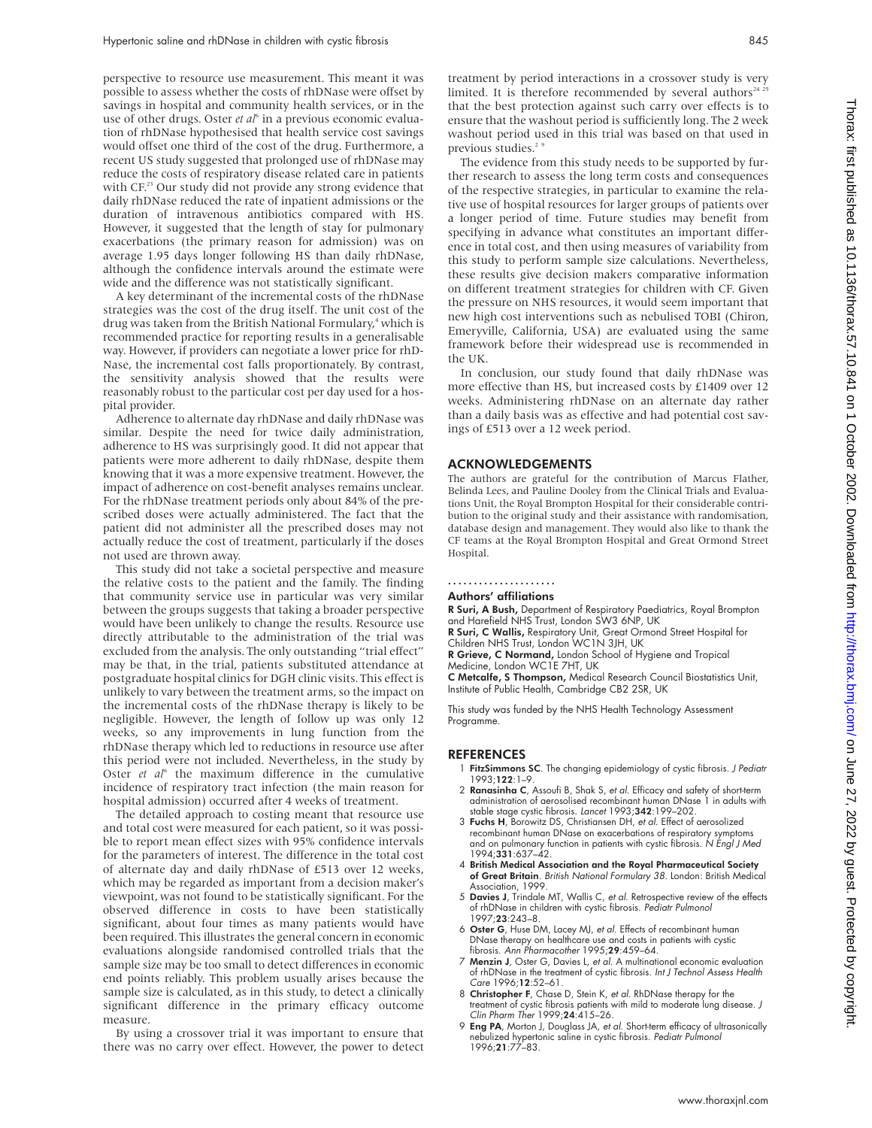perspective to resource use measurement. This meant it was possible to assess whether the costs of rhDNase were offset by savings in hospital and community health services, or in the use of other drugs. Oster *et al<sup>6</sup>* in a previous economic evaluation of rhDNase hypothesised that health service cost savings would offset one third of the cost of the drug. Furthermore, a recent US study suggested that prolonged use of rhDNase may reduce the costs of respiratory disease related care in patients with CF.<sup>23</sup> Our study did not provide any strong evidence that daily rhDNase reduced the rate of inpatient admissions or the duration of intravenous antibiotics compared with HS. However, it suggested that the length of stay for pulmonary exacerbations (the primary reason for admission) was on average 1.95 days longer following HS than daily rhDNase, although the confidence intervals around the estimate were wide and the difference was not statistically significant.

A key determinant of the incremental costs of the rhDNase strategies was the cost of the drug itself. The unit cost of the drug was taken from the British National Formulary,<sup>4</sup> which is recommended practice for reporting results in a generalisable way. However, if providers can negotiate a lower price for rhD-Nase, the incremental cost falls proportionately. By contrast, the sensitivity analysis showed that the results were reasonably robust to the particular cost per day used for a hospital provider.

Adherence to alternate day rhDNase and daily rhDNase was similar. Despite the need for twice daily administration, adherence to HS was surprisingly good. It did not appear that patients were more adherent to daily rhDNase, despite them knowing that it was a more expensive treatment. However, the impact of adherence on cost-benefit analyses remains unclear. For the rhDNase treatment periods only about 84% of the prescribed doses were actually administered. The fact that the patient did not administer all the prescribed doses may not actually reduce the cost of treatment, particularly if the doses not used are thrown away.

This study did not take a societal perspective and measure the relative costs to the patient and the family. The finding that community service use in particular was very similar between the groups suggests that taking a broader perspective would have been unlikely to change the results. Resource use directly attributable to the administration of the trial was excluded from the analysis. The only outstanding "trial effect" may be that, in the trial, patients substituted attendance at postgraduate hospital clinics for DGH clinic visits. This effect is unlikely to vary between the treatment arms, so the impact on the incremental costs of the rhDNase therapy is likely to be negligible. However, the length of follow up was only 12 weeks, so any improvements in lung function from the rhDNase therapy which led to reductions in resource use after this period were not included. Nevertheless, in the study by Oster *et al<sup>6</sup>* the maximum difference in the cumulative incidence of respiratory tract infection (the main reason for hospital admission) occurred after 4 weeks of treatment.

The detailed approach to costing meant that resource use and total cost were measured for each patient, so it was possible to report mean effect sizes with 95% confidence intervals for the parameters of interest. The difference in the total cost of alternate day and daily rhDNase of £513 over 12 weeks, which may be regarded as important from a decision maker's viewpoint, was not found to be statistically significant. For the observed difference in costs to have been statistically significant, about four times as many patients would have been required. This illustrates the general concern in economic evaluations alongside randomised controlled trials that the sample size may be too small to detect differences in economic end points reliably. This problem usually arises because the sample size is calculated, as in this study, to detect a clinically significant difference in the primary efficacy outcome measure.

By using a crossover trial it was important to ensure that there was no carry over effect. However, the power to detect treatment by period interactions in a crossover study is very limited. It is therefore recommended by several authors<sup>24</sup> that the best protection against such carry over effects is to ensure that the washout period is sufficiently long. The 2 week washout period used in this trial was based on that used in previous studies.<sup>2</sup>

The evidence from this study needs to be supported by further research to assess the long term costs and consequences of the respective strategies, in particular to examine the relative use of hospital resources for larger groups of patients over a longer period of time. Future studies may benefit from specifying in advance what constitutes an important difference in total cost, and then using measures of variability from this study to perform sample size calculations. Nevertheless, these results give decision makers comparative information on different treatment strategies for children with CF. Given the pressure on NHS resources, it would seem important that new high cost interventions such as nebulised TOBI (Chiron, Emeryville, California, USA) are evaluated using the same framework before their widespread use is recommended in the UK.

In conclusion, our study found that daily rhDNase was more effective than HS, but increased costs by £1409 over 12 weeks. Administering rhDNase on an alternate day rather than a daily basis was as effective and had potential cost savings of £513 over a 12 week period.

#### ACKNOWLEDGEMENTS

The authors are grateful for the contribution of Marcus Flather, Belinda Lees, and Pauline Dooley from the Clinical Trials and Evaluations Unit, the Royal Brompton Hospital for their considerable contribution to the original study and their assistance with randomisation, database design and management. They would also like to thank the CF teams at the Royal Brompton Hospital and Great Ormond Street Hospital.

#### ..................... Authors' affiliations

R Suri, A Bush, Department of Respiratory Paediatrics, Royal Brompton and Harefield NHS Trust, London SW3 6NP, UK

R Suri, C Wallis, Respiratory Unit, Great Ormond Street Hospital for Children NHS Trust, London WC1N 3JH, UK

**R Grieve, C Normand,** London School of Hygiene and Tropical<br>Medicine, London WC1E 7HT, UK

**C Metcalfe, S Thompson,** Medical Research Council Biostatistics Unit,<br>Institute of Public Health, Cambridge CB2 2SR, UK

This study was funded by the NHS Health Technology Assessment Programme.

#### **REFERENCES**

- 1 FitzSimmons SC. The changing epidemiology of cystic fibrosis. J Pediatr 1993;122:1–9.
- 2 Ranasinha C, Assoufi B, Shak S, et al. Efficacy and safety of short-term administration of aerosolised recombinant human DNase 1 in adults with stable stage cystic fibrosis. Lancet 1993;342:199-202.
- 3 Fuchs H, Borowitz DS, Christiansen DH, et al. Effect of aerosolized recombinant human DNase on exacerbations of respiratory symptoms and on pulmonary function in patients with cystic fibrosis. N Engl J Med<br>1994;**331**:637–42.
- 4 British Medical Association and the Royal Pharmaceutical Society of Great Britain. British National Formulary 38. London: British Medical Association, 1999.
- 5 Davies J, Trindale MT, Wallis C, et al. Retrospective review of the effects of rhDNase in children with cystic fibrosis. Pediatr Pulmonol 1997;23:243–8.
- 6 Oster G, Huse DM, Lacey MJ, et al. Effects of recombinant human DNase therapy on healthcare use and costs in patients with cystic fibrosis. Ann Pharmacother 1995;29:459-64.
- 7 Menzin J, Oster G, Davies L, et al. A multinational economic evaluation of rhDNase in the treatment of cystic fibrosis. Int J Technol Assess Health Care 1996;12:52–61.
- 8 Christopher F, Chase D, Stein K, et al. RhDNase therapy for the treatment of cystic fibrosis patients with mild to moderate lung disease. J Clin Pharm Ther 1999;24:415–26.
- 9 Eng PA, Morton J, Douglass JA, et al. Short-term efficacy of ultrasonically nebulized hypertonic saline in cystic fibrosis. Pediatr Pulmonol 1996;21:77–83.